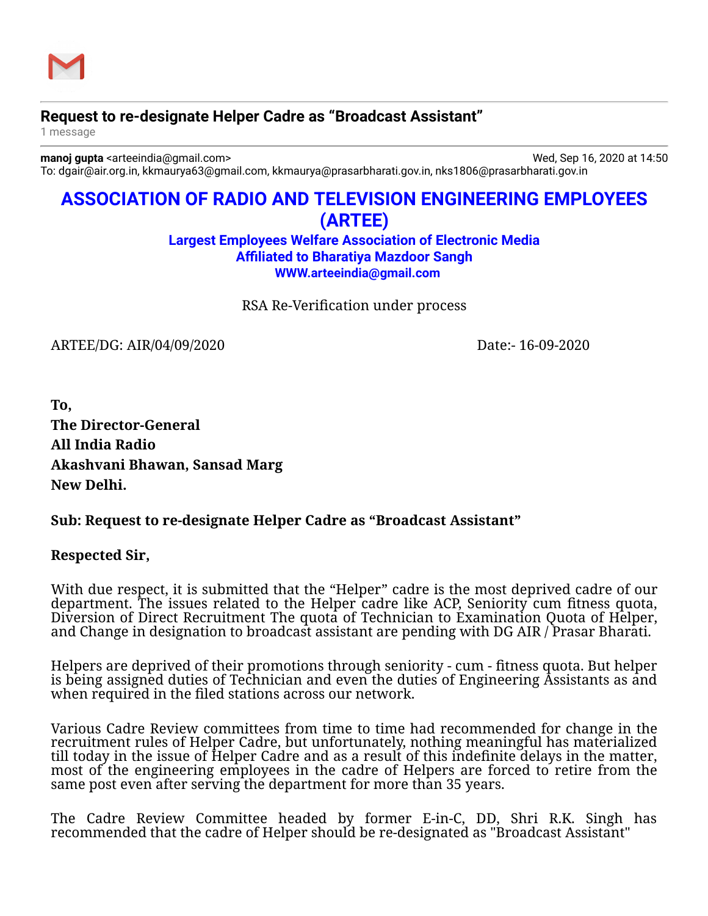

## **Request to re-designate Helper Cadre as "Broadcast Assistant"**

1 message

**manoj gupta** <arteeindia@gmail.com> Wed, Sep 16, 2020 at 14:50 To: dgair@air.org.in, kkmaurya63@gmail.com, kkmaurya@prasarbharati.gov.in, nks1806@prasarbharati.gov.in

# **ASSOCIATION OF RADIO AND TELEVISION ENGINEERING EMPLOYEES (ARTEE)**

**Largest Employees Welfare Association of Electronic Media Affiliated to Bharatiya Mazdoor Sangh [WWW.arteeindia@gmail.com](http://WWW.arteeindia@gmail.com/)**

RSA Re-Verification under process

ARTEE/DG: AIR/04/09/2020 Date:- 16-09-2020

**To, The Director-General All India Radio Akashvani Bhawan, Sansad Marg New Delhi.**

### **Sub: Request to re-designate Helper Cadre as "Broadcast Assistant"**

### **Respected Sir,**

With due respect, it is submitted that the "Helper" cadre is the most deprived cadre of our department. The issues related to the Helper cadre like ACP, Seniority cum fitness quota, Diversion of Direct Recruitment The quota of Technician to Examination Quota of Helper, and Change in designation to broadcast assistant are pending with DG AIR / Prasar Bharati.

Helpers are deprived of their promotions through seniority - cum - fitness quota. But helper is being assigned duties of Technician and even the duties of Engineering Assistants as and when required in the filed stations across our network.

Various Cadre Review committees from time to time had recommended for change in the recruitment rules of Helper Cadre, but unfortunately, nothing meaningful has materialized till today in the issue of Helper Cadre and as a result of this indefinite delays in the matter, most of the engineering employees in the cadre of Helpers are forced to retire from the same post even after serving the department for more than 35 years.

The Cadre Review Committee headed by former E-in-C, DD, Shri R.K. Singh has recommended that the cadre of Helper should be re-designated as "Broadcast Assistant"